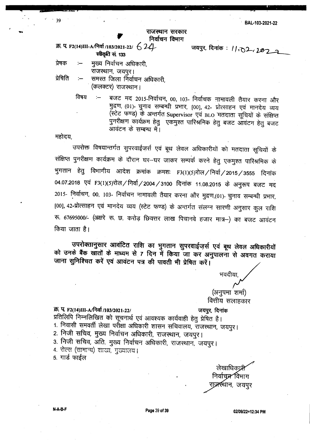## राजस्थान सरकार निर्वाचन विभाग

. " ...~. .

 $\bar{p}$ .  $q$  F2(14)III-A/निर्वा /103/2021-22/  $\left\{\frac{1}{4}\right\}$   $q$  जयपुर, दिनांक:  $11,02$ ,  $202$ स्वीकृति सं. 133

प्रेषक :-- मुख्य निर्वाचन अधिकारी, राजस्थान, जयपुर। प्रेषिति  $\,$  :–  $\,$  समस्त जिला निर्वाचन अधिकारी,

(कलक्टर) राजस्थान।

विषय :— वजट मद 2015-निर्वाचन, 00, 103- निर्वाचक नामावली तैयार करना और मुद्रण, (01)- चुनाव सम्बन्धी प्रभार, [00], 42- प्रोत्साहन एवं मानदेय व्यय (स्टेट फण्ड) के अन्तर्गत Supervisor एवं BLO मतदाता सूचियों के संक्षिप्त पुनरीक्षण कार्यक्रम हेतु एकमुश्त पारिश्रमिक हेतु बजट आवंटन हेतु बजट आवंटन के सम्बन्ध में।

महोदय.

39

-

उपरोक्त विषयान्तर्गत सुपरवाईजर्स एवं बूथ लेवल अधिकारीयों को मतदाता सूचियों के संक्षिप्त पुनरीक्षण कार्यक्रम के दौरान घर-घर जाकर सम्पर्क करने हेतु एकमुश्त पारिश्रमिक के भुगतान हेतु विभागीय आदेश क्रमांक क्रमशः F3(1)(5)रोल / निर्वा / 2015 / 3555 दिनांक 04.07.2018 एवं F3(1)(5)रोल / निर्वा / 2004 / 3100 दिनांक 11.08.2015 के अनुरूप बजट मद 2015- निर्वाचन, 00, 103- निर्वाचन नामावली तैयार करना और मुद्रण,(01)- चुनाव सम्बन्धी प्रभार, [00], 42-प्रोत्साहन एवं मानदेय व्यय (स्टेट फण्ड) के अन्तर्गत संलग्न सारणी अनुसार कुल राशि  $\overline{x}$ . 67695000/- (अक्षरे रू. छ. करोड़ छियत्तर लाख पिचानवे हजार मात्र-) का बजट आवंटन किया जाता है।

उपरोक्तानुसार आवंटित राशि का भुगतान सुपरवाईजर्स एवं बूथ लेवल अधिकारीयों को उनके बैंक खातों के माध्यम से 7 दिन में किया जा कर अनुपालना से अवगत कराया जाना सुनिश्चित करें एवं आवंटन पत्र की पावती भी प्रेषित करें।

> (अनुपमा शर्मा) वित्तीय सलाहकार

भवदीया

## Sf). qF2(14)III-A~ *1103/2021-221 ~, <sup>~</sup>*

प्रतिलिपि निम्नलिखित को सूचनार्थ एवं आवश्यक कार्यवाही हेतु प्रेषित है। 1. निवासी समवर्ती लेखा परोंक्षा अधिकारी शासन सचिवालय, राजस्थान, जयपुर। 2. निजी सचिव, मुख्य निर्वाचन अधिकारी, राजस्थान, जयपूर। 3. निजी सचिव, अति. मुख्य निर्वाचन अधिकारी, राजस्थान, जयपुर। 4. रोल्स (सामान्य) शाखा, गुख्यालय। 5. गार्ड फाईल

लेखाधिकार्प्र निर्वाचन्न^विभाग राज्र्स्र्थान, जयपुर